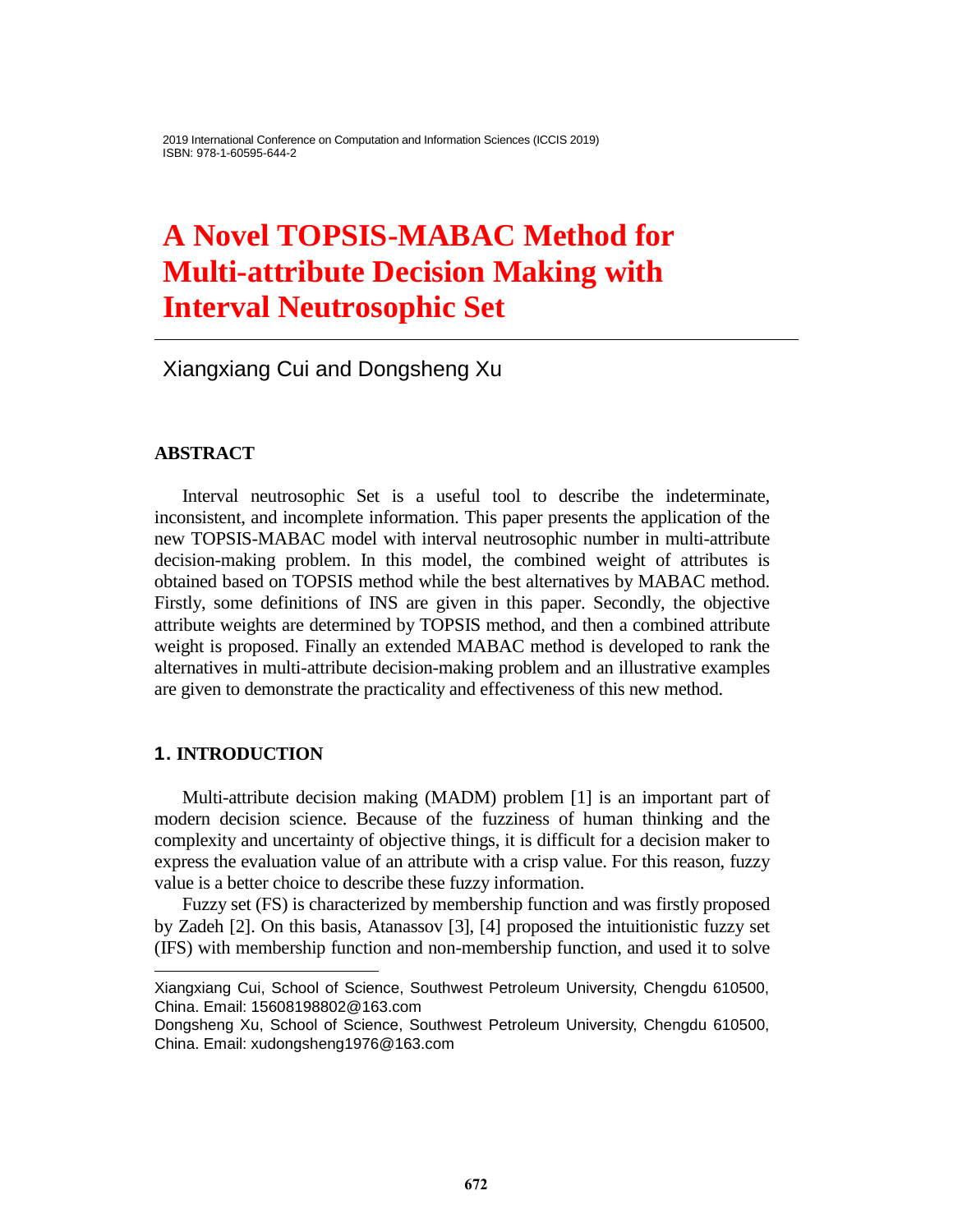# **A Novel TOPSIS-MABAC Method for Multi-attribute Decision Making with Interval Neutrosophic Set**

Xiangxiang Cui and Dongsheng Xu

# **ABSTRACT**

Interval neutrosophic Set is a useful tool to describe the indeterminate, inconsistent, and incomplete information. This paper presents the application of the new TOPSIS-MABAC model with interval neutrosophic number in multi-attribute decision-making problem. In this model, the combined weight of attributes is obtained based on TOPSIS method while the best alternatives by MABAC method. Firstly, some definitions of INS are given in this paper. Secondly, the objective attribute weights are determined by TOPSIS method, and then a combined attribute weight is proposed. Finally an extended MABAC method is developed to rank the alternatives in multi-attribute decision-making problem and an illustrative examples are given to demonstrate the practicality and effectiveness of this new method.

# **1. INTRODUCTION**

l

Multi-attribute decision making (MADM) problem [1] is an important part of modern decision science. Because of the fuzziness of human thinking and the complexity and uncertainty of objective things, it is difficult for a decision maker to express the evaluation value of an attribute with a crisp value. For this reason, fuzzy value is a better choice to describe these fuzzy information.

Fuzzy set (FS) is characterized by membership function and was firstly proposed by Zadeh [2]. On this basis, Atanassov [3], [4] proposed the intuitionistic fuzzy set (IFS) with membership function and non-membership function, and used it to solve

Xiangxiang Cui, School of Science, Southwest Petroleum University, Chengdu 610500, China. Email: 15608198802@163.com

Dongsheng Xu, School of Science, Southwest Petroleum University, Chengdu 610500, China. Email: xudongsheng1976@163.com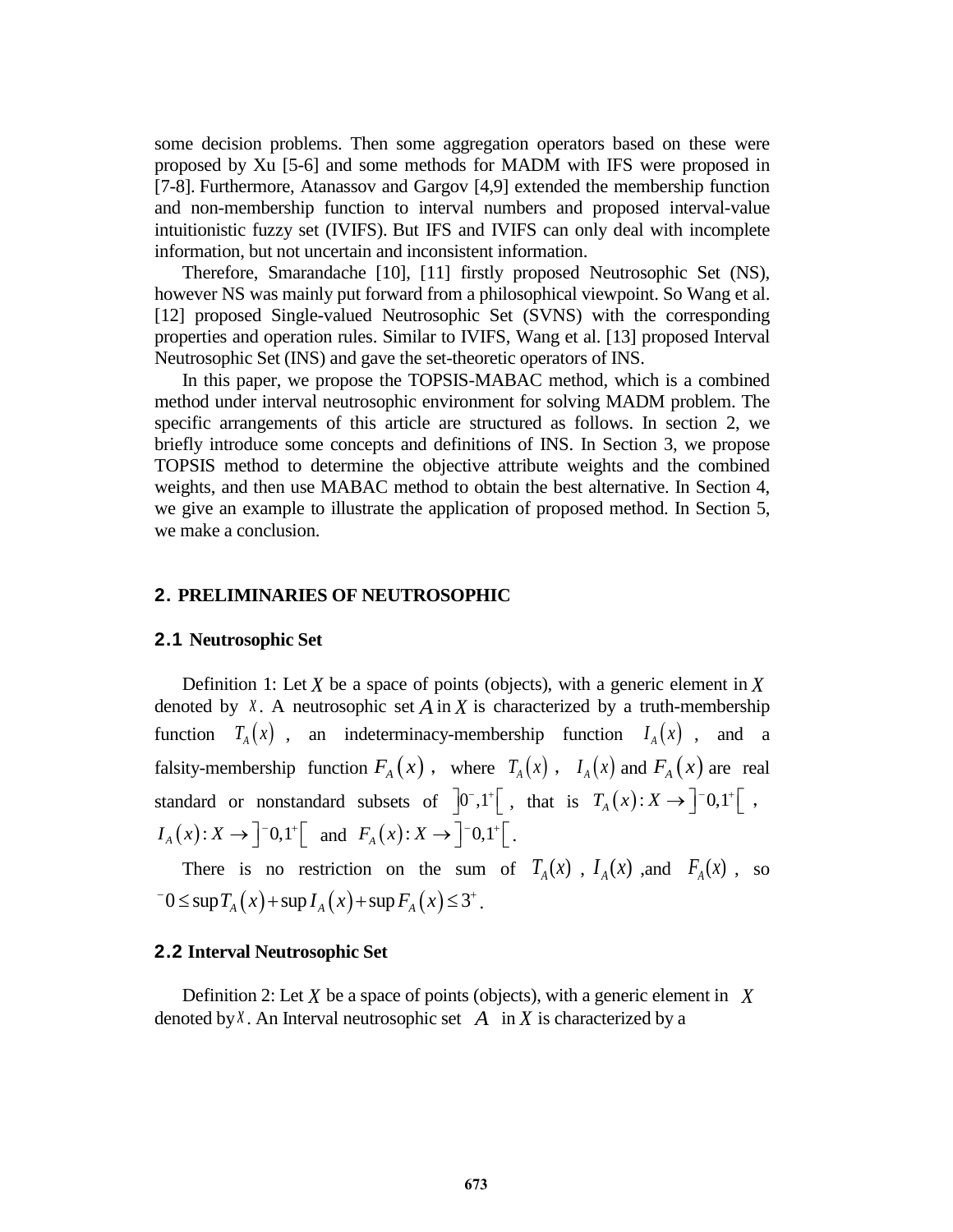some decision problems. Then some aggregation operators based on these were proposed by Xu [5-6] and some methods for MADM with IFS were proposed in [7-8]. Furthermore, Atanassov and Gargov [4,9] extended the membership function and non-membership function to interval numbers and proposed interval-value intuitionistic fuzzy set (IVIFS). But IFS and IVIFS can only deal with incomplete information, but not uncertain and inconsistent information.

Therefore, Smarandache [10], [11] firstly proposed Neutrosophic Set (NS), however NS was mainly put forward from a philosophical viewpoint. So Wang et al. [12] proposed Single-valued Neutrosophic Set (SVNS) with the corresponding properties and operation rules. Similar to IVIFS, Wang et al. [13] proposed Interval Neutrosophic Set (INS) and gave the set-theoretic operators of INS.

In this paper, we propose the TOPSIS-MABAC method, which is a combined method under interval neutrosophic environment for solving MADM problem. The specific arrangements of this article are structured as follows. In section 2, we briefly introduce some concepts and definitions of INS. In Section 3, we propose TOPSIS method to determine the objective attribute weights and the combined weights, and then use MABAC method to obtain the best alternative. In Section 4, we give an example to illustrate the application of proposed method. In Section 5, we make a conclusion.

#### **2. PRELIMINARIES OF NEUTROSOPHIC**

#### **2.1 Neutrosophic Set**

Definition 1: Let *X* be a space of points (objects), with a generic element in *X* denoted by  $\bar{x}$ . A neutrosophic set  $\bar{A}$  in  $\bar{X}$  is characterized by a truth-membership function  $T_A(x)$ , an indeterminacy-membership function  $I_A(x)$ , and a falsity-membership function  $F_A(x)$ , where  $T_A(x)$ ,  $I_A(x)$  and  $F_A(x)$  are real standard or nonstandard subsets of  $\left]0^-, 1^+ \right[$ , that is  $T_A(x): X \to \left]^{-0,1^+ \right[}$ ,  $I_A(x): X \to \left]^{-0,1^{+}} \right[ \text{ and } F_A(x): X \to \left]^{-0,1^{+}} \right[$ .

There is no restriction on the sum of  $T_A(x)$ ,  $I_A(x)$ , and  $F_A(x)$ , so There is no restriction on the sum of  $0 \le \sup T_A(x) + \sup I_A(x) + \sup F_A(x) \le 3^+$ .

#### **2.2 Interval Neutrosophic Set**

Definition 2: Let  $X$  be a space of points (objects), with a generic element in  $X$ denoted by  $X$ . An Interval neutrosophic set  $A$  in  $X$  is characterized by a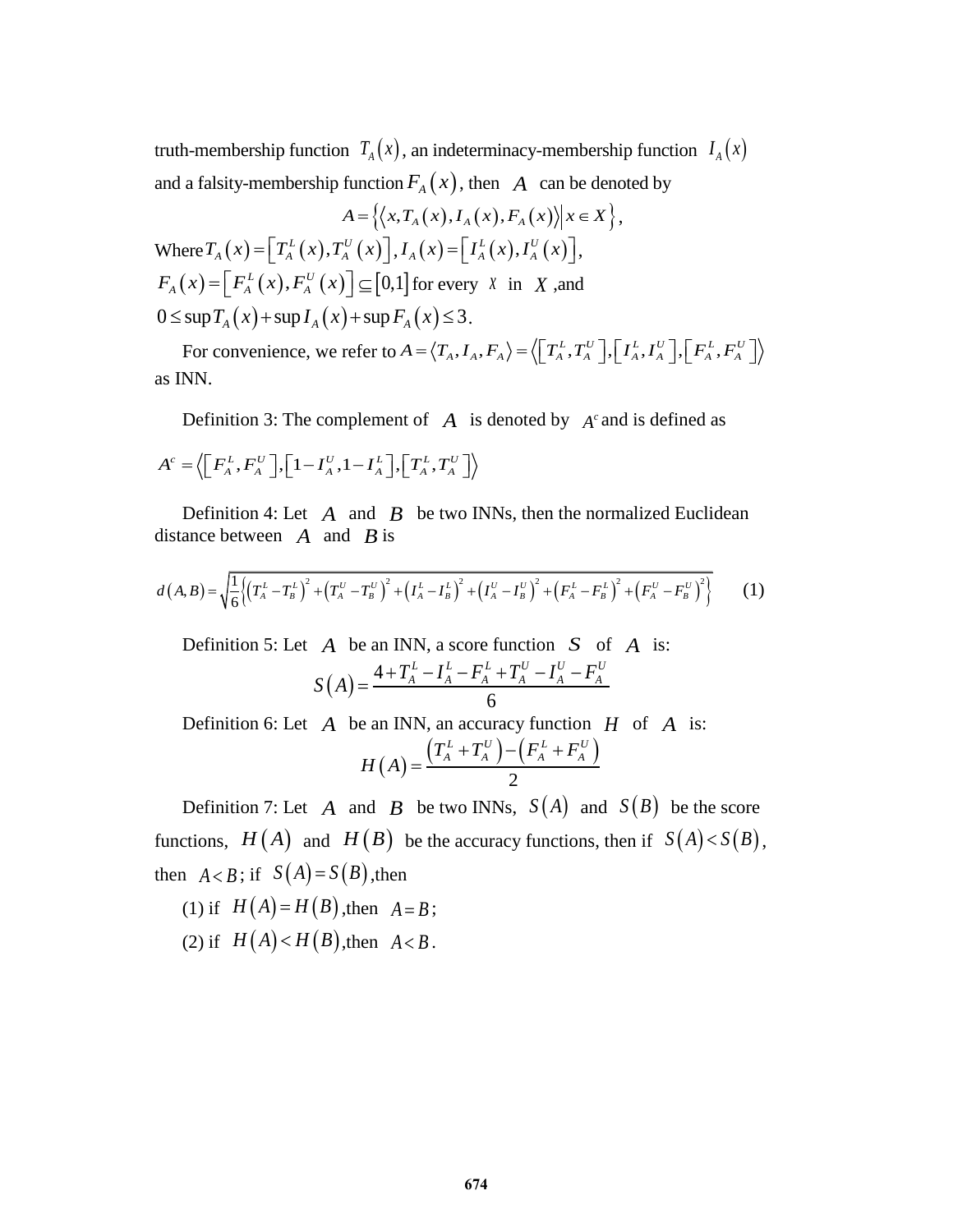truth-membership function  $T_A(x)$ , an indeterminacy-membership function  $I_A(x)$ and a falsity-membership function  $F_A(x)$ , then  $A$  can be denoted by  $A = \{ \langle x, T_A(x), I_A(x), F_A(x) \rangle | x \in X \},$ 

$$
A = \left\{ \left\langle x, T_A(x), I_A(x), F_A(x) \right\rangle \middle| x \in X \right\}
$$
  
Where  $T_A(x) = \left[ T_A^L(x), T_A^U(x) \right], I_A(x) = \left[ I_A^L(x), I_A^U(x) \right],$   
 $F_A(x) = \left[ F_A^L(x), F_A^U(x) \right] \subseteq [0,1]$  for every  $X$  in  $X$ , and  
 $0 \le \sup T_A(x) + \sup I_A(x) + \sup F_A(x) \le 3$ .

 $\sup T_A(x) + \sup I_A(x) + \sup F_A(x) \le 3.$ <br>For convenience, we refer to  $A = \langle T_A, I_A, F_A \rangle = \langle [T_A^L, T_A^U], [I_A^L, I_A^U], [F_A^L, F_A^U] \rangle$ as INN.

Definition 3: The complement of  $A$  is denoted by  $A<sup>c</sup>$  and is defined as

$$
A^{c} = \left\langle \left[ F_{A}^{L}, F_{A}^{U} \right], \left[ 1 - I_{A}^{U}, 1 - I_{A}^{L} \right], \left[ T_{A}^{L}, T_{A}^{U} \right] \right\rangle
$$

Definition 4: Let  $\overline{A}$  and  $\overline{B}$  be two INNs, then the normalized Euclidean distance between  $\overrightarrow{A}$  and  $\overrightarrow{B}$  is

distance between *A* and *B* is  

$$
d(A,B) = \sqrt{\frac{1}{6} \left( (T_A^L - T_B^L)^2 + (T_A^U - T_B^U)^2 + (I_A^L - I_B^L)^2 + (I_A^U - I_B^U)^2 + (F_A^L - F_B^L)^2 + (F_A^U - F_B^U)^2 \right)}
$$
(1)

Definition 5: Let  $\overline{A}$  be an INN, a score function  $\overline{S}$  of  $\overline{A}$  is:  $(A)$ 4 *A* be an INN, a score function *S* of<br>  $S(A) = \frac{4 + T_A^L - I_A^L - F_A^L + T_A^U - I_A^U - F_A^U}{6}$ 

Definition 6: Let *A* be an INN, an accuracy function *H* of *A* is:  

$$
H(A) = \frac{\left(T_A^L + T_A^U\right) - \left(F_A^L + F_A^U\right)}{2}
$$

Definition 7: Let A and B be two INNs,  $S(A)$  and  $S(B)$  be the score functions,  $H(A)$  and  $H(B)$  be the accuracy functions, then if  $S(A) < S(B)$ , then  $A < B$ ; if  $S(A) = S(B)$ , then

(1) if  $H(A) = H(B)$ , then  $A = B$ ; (2) if  $H(A) < H(B)$ , then  $A < B$ .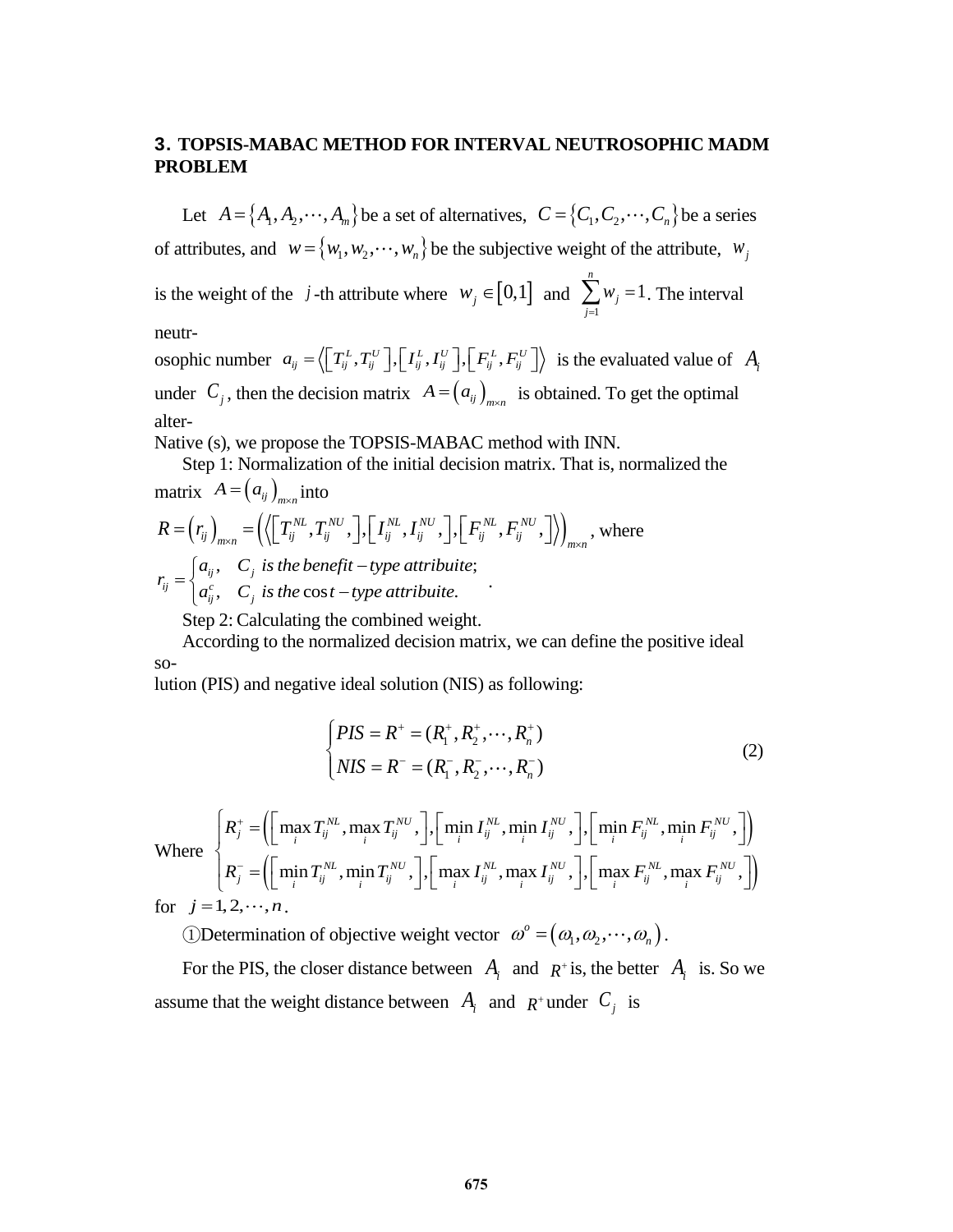# **3. TOPSIS-MABAC METHOD FOR INTERVAL NEUTROSOPHIC MADM PROBLEM**

Let  $A = \{A_1, A_2, \dots, A_m\}$  be a set of alternatives,  $C = \{C_1, C_2, \dots, C_n\}$  be a series of attributes, and  $w = \{w_1, w_2, \dots, w_n\}$  be the subjective weight of the attribute,  $w_j$ *n*

is the weight of the *j*-th attribute where  $w_j \in [0,1]$  and 1 1 *j j w*  $\sum_{j=1} w_j = 1$ . The interval

neutr-

neutr-<br>osophic number  $a_{ij} = \left\langle \left[ T_{ij}^L, T_{ij}^U \right], \left[ I_{ij}^L, I_{ij}^U \right], \left[ F_{ij}^L, F_{ij}^U \right] \right\rangle$  is the evaluated value of  $A_i$ under  $C_j$ , then the decision matrix  $A = (a_{ij})_{m \times n}$  is obtained. To get the optimal alter-

Native (s), we propose the TOPSIS-MABAC method with INN.

Step 1: Normalization of the initial decision matrix. That is, normalized the

matrix 
$$
A = (a_{ij})_{m \times n}
$$
 into  
\n
$$
R = (r_{ij})_{m \times n} = ((\Gamma_{ij}^{NL}, T_{ij}^{NU}, \Gamma_{ij}^{NL}, I_{ij}^{NU}, \Gamma_{ij}^{NL}, F_{ij}^{NU}, \Gamma_{ij}^{NU})_{m \times n},
$$
 where  
\n
$$
r_{ij} = \begin{cases} a_{ij}, & C_j \text{ is the benefit -type attribute;} \\ a_{ij}^c, & C_j \text{ is the cost -type attribute.} \end{cases}
$$

Step 2: Calculating the combined weight.

According to the normalized decision matrix, we can define the positive ideal so-

lution (PIS) and negative ideal solution (NIS) as following:

$$
\begin{cases}\nPIS = R^+ = (R_1^+, R_2^+, \cdots, R_n^+) \\
NIS = R^- = (R_1^-, R_2^-, \cdots, R_n^-)\n\end{cases} \tag{2}
$$

Where  $\left( \left| \max_i T_{ij}^{nc}, \max_i T_{ij}^{nc}, \right|, \left| \min_i T_{ij}^{nc}, \min_i T_{ij}^{nc}, \right|, \left| \min_i F_{ij}^{nc}, \min_i F_{ij}^{nc}, \right| \right)$  $\left( \mid \min_i T_{ij}^{nc}, \min_i T_{ij}^{nc}, \mid, \mid \max_i I_{ij}^{nc}, \max_i I_{ij}^{nc}, \mid, \mid \max_i F_{ij}^{nc}, \max_i F_{ij}^{nc}, \mid \right)$  $\left(NIS = R^- = (R_1^-, R_2^-, \dots, R_n^-)\right)$ <br>  $\max_i T_{ij}^{NL}$ ,  $\max_i T_{ij}^{NU}$ ,  $\left]$ ,  $\left[\min_i I_{ij}^{NL}$ ,  $\min_i I_{ij}^{NU}$ ,  $\right]$ ,  $\left[\min_i F_{ij}^{NL}$ ,  $\min_i F_{ij}^{NU}$ ,  $\right]$  $\max_i T_{ij}^{NL}, \max_i T_{ij}^{NU}, \Big], \Big[\min_i I_{ij}^{NL}, \min_i I_{ij}^{NU}, \Big], \Big[\min_i F_{ij}^{NL}, \min_i F_{ij}^{NU}, \Big] \nonumber \ \min_i T_{ij}^{NL}, \min_i T_{ij}^{NU}, \Big], \Big[\max_i I_{ij}^{NL}, \max_i I_{ij}^{NU}, \Big], \Big[\max_i F_{ij}^{NL}, \max_i F_{ij}^{NU}, \Big]$  $\mathcal{L}^{NL}_{i}, \max T^{NU}_{ii}, \overline{]}$ ,  $\left[\min I^{NL}_{ii}, \min I^{NU}_{ii}, \overline{]} \right]$ ,  $\left[\min F^{NL}_{ii}, \min F^{NU}_{ii}\right]$  $J_j^+ = \left(\left[\max_i T_{ij}^{NL}, \max_i T_{ij}^{NU}, \right], \left[\min_i I_{ij}^{NL}, \min_i I_{ij}^{NU}, \right], \left[\min_i F_{ij}^{NL}, \min_i F_{ij}^{NL}\right]$  $\sum_{ij} \min_i \sum_{ij} \sum_{j} \left[ \min_i I_{ij} \right]$ ,  $\min_i I_{ij}$ ,  $\min_i I_{ij}$ ,  $\prod_{i} \min_i I_{ij}$ ,  $\min_i I_{ij}^{NL}$ ,  $\min_i T_i^{NU}$ ,  $\left]$ ,  $\left[ \max_i I_{ii}^{NL}, \max_i I_{ii}^{NU} \right]$ ,  $\left[ \max_i F_{ii}^{NL}, \max_i F_{ii}^{NL} \right]$  $J_{ij}^{-} = \left( \left[ \min_i T_{ij}^{NL}, \min_i T_{ij}^{NU}, \right], \left[ \max_i I_{ij}^{NL}, \max_i I_{ij}^{NU}, \right], \left[ \max_i F_{ij}^{NL}, \max_i F_{ij}^{NL} \right] \right)$  $\left[NIS = R^- = (R_1^-, R_2^-, \dots, R_n^-)\right]$ <br> $R_j^+ = \left(\left[\max_i T_{ij}^{NL}, \max_i T_{ij}^{NU}, \right], \left[\min_i I_{ij}^{NL}, \min_i I_{ij}^{NU}, \right], \left[\min_i F_{ij}^{NL}, \min_i F_{ij}^{NL}\right]\right)$  $R_j^+ = \left( \left[ \max_i T_{ij}^{NL}, \max_i T_{ij}^{NU}, \right], \left[ \min_i I_{ij}^{NL}, \min_i I_{ij}^{NU}, \right], \left[ \min_i F_{ij}^{NL}, \min_i F_{ij}^{NL} \right], \right.$ <br>  $R_j^- = \left( \left[ \min_i T_{ij}^{NL}, \min_i T_{ij}^{NU}, \right], \left[ \max_i I_{ij}^{NL}, \max_i I_{ij}^{NU}, \right], \left[ \max_i F_{ij}^{NL}, \max_i F_{ij}^{NL} \right], \left[ \min_i F_{ij}^{NL}, \min_i F_{ij}^{NL} \right], \left[ \min_i F_{ij}^{NL}, \min_i$  $^{+}$  $\begin{cases}\nNIS = R^- = (R_1^-, R_2^-, \dots, R_n^-)\n\end{cases}$   $\begin{cases}\nR_j^+ = \left(\left[\max_i T_{ij}^{NL}, \max_i T_{ij}^{NU}, \right], \left[\min_i I_{ij}^{NL}, \min_i I_{ij}^{NU}, \right], \left[\min_i F_{ij}^{NL}, \min_i F_{ij}^{NU}, \right]\right)\n\end{cases}$   $R_-^-\left(\left[\min_i T_{ij}^{NL}, \min_i T_{ij}^{NU} \right], \left[\max_i I_{ij}^{NL}, \max_i I_{ij}^{NU} \right], \left[\max_i F_{ij}^{NL}, \max_i F_{ij}^{NU} \right]\right)$  $\begin{split} &\begin{cases} R_j^+ =\!\!\left( \!\!\left[ \max_i T_{ij}^{NL}, \max_i T_{ij}^{NU}, \right]\!,\!\! \left[ \min_i I_{ij}^{NL}, \min_i I_{ij}^{NU}, \right]\!,\!\! \left[ \min_i F_{ij}^{NL}, \min_i F_{ij}^{NU}, \right] \!\!\right) \ \end{cases} \ &\begin{aligned} R_j^- =\!\!\left( \!\left[ \min_i T_{ij}^{NL}, \min_i T_{ij}^{NU}, \right]\!,\!\! \left[ \max_i I_{ij}^{NL}, \max_i I_{ij}^{NU}, \right]\!,\!\! \left[ \max_i F_{ij}^{NL}, \max_i F_{ij}^{NU},$  $R_j^+ = \left( \left[ \max_i T_{ij}^{NL}, \max_i T_{ij}^{NU}, \right], \left[ \min_i I_{ij}^{NL}, \min_i I_{ij}^{NU}, \right], \left[ \min_i F_{ij}^{NL}, \min_i F_{ij}^{NU}, \right] \right)$ <br> $R_j^- = \left( \left[ \min_i T_{ij}^{NL}, \min_i T_{ij}^{NU}, \right], \left[ \max_i I_{ij}^{NL}, \max_i I_{ij}^{NU}, \right], \left[ \max_i F_{ij}^{NL}, \max_i F_{ij}^{NU}, \right] \right)$ for  $j = 1, 2, \dots, n$ .

**1**Determination of objective weight vector  $\omega^{\circ} = (\omega_1, \omega_2, \dots, \omega_n)$ .

For the PIS, the closer distance between  $A_i$  and  $R^+$  is, the better  $A_i$  is. So we assume that the weight distance between  $A_i$  and  $R^+$  under  $C_j$  is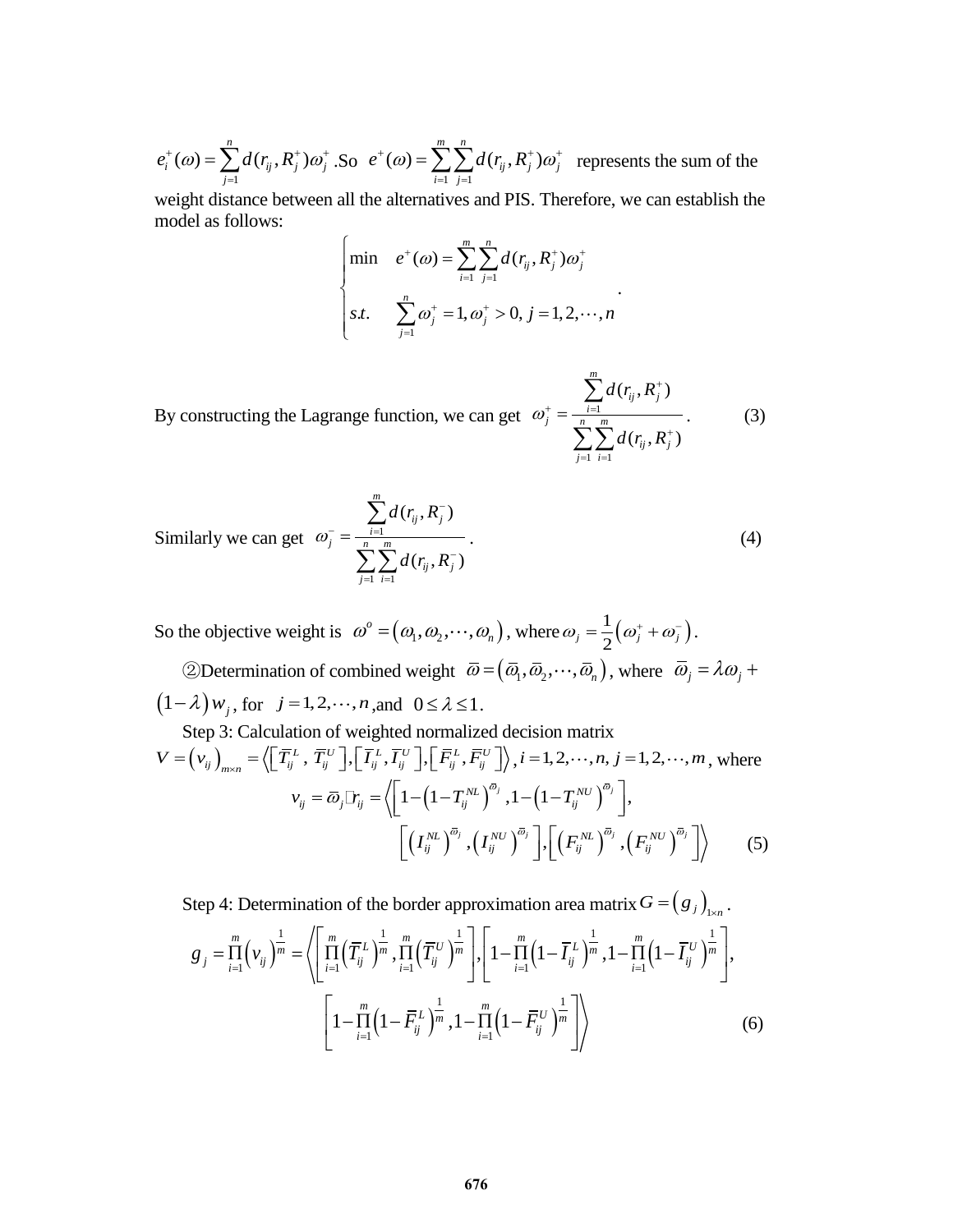1  $(\omega) = \sum_{i=1}^{n} d(r_{ij}, R_{i}^{+})$  $f_i(\omega) = \sum_{j=1} d(r_{ij}, K_j) \omega_j$  $e_i^{\dagger}(\omega) = \sum_{i=1}^{n} d(r_{ij}, R_i^{\dagger}) \omega_i^{\dagger}$ .  $=\sum_{j=1}^{N} d(r_{ij}, R_j^+) \omega_j^+$ .So  $\frac{1}{j}$   $\frac{1}{j}$  $(\omega) = \sum_{i=1}^{m} \sum_{i=1}^{n} d(r_{ij}, R_{i}^{+})$  $f_{ij}$  ,  $R_j^+$  ) $\omega_j^+$  $\sum_{i=1}^{L}$  $e^{+}(\omega) = \sum_{i=1}^{m} \sum_{j=1}^{n} d(r_{ij}, R_{j}^{+}) \omega_{j}^{+}$  $=\sum_{i=1}^{m}\sum_{j=1}^{n}d(r_{ij},R_{j}^{+})\omega_{j}^{+}$  represents the sum of the

weight distance between all the alternatives and PIS. Therefore, we can establish the model as follows:

$$
\begin{cases}\n\min & e^{+}(\omega) = \sum_{i=1}^{m} \sum_{j=1}^{n} d(r_{ij}, R_{j}^{+}) \omega_{j}^{+} \\
s.t. & \sum_{j=1}^{n} \omega_{j}^{+} = 1, \omega_{j}^{+} > 0, j = 1, 2, \cdots, n\n\end{cases}
$$

.

By constructing the Lagrange function, we can get  $\omega_i^+ = \frac{i-1}{n}$  $\frac{1}{i}$   $\frac{1}{i}$  $(r_{ii}, R_{i}^{+})$  $(r_{ii}, R_{i}^{+})$ *m*  $\sum_{j}^{+} = \frac{\sum_{i=1}^{n} a(r_{ij}, K_j)}{n - m}$  $\dot{y}_j$  ,  $K^{\phantom{\dagger}}_j$  $\sum_{j=1}$  *i*  $d(r_{ij},R)$  $\omega_j = \frac{1}{\sum_{i=1}^n \sum_{j=1}^m d(r_{ij}, R)}$  $^{+}$  $+$   $\frac{1}{i}$  $^{+}$  $\frac{1}{i}$   $\frac{1}{i}$  $=$  $\sum$  $\sum\sum$ . (3)

Similarly we can get 
$$
\omega_j^- = \frac{\sum_{i=1}^m d(r_{ij}, R_j^-)}{\sum_{j=1}^n \sum_{i=1}^m d(r_{ij}, R_j^-)}
$$
. (4)

So the objective weight is  $\omega^{\circ} = (\omega_1, \omega_2, \cdots, \omega_n)$ , where  $\omega_j = \frac{1}{2} (\omega_j^+ + \omega_j^-)$  $\omega_{j} = \frac{1}{2} (\omega_{j}^{+} + \omega_{j}^{-}).$ 

②Determination of combined weight  $\overline{\omega} = (\overline{\omega}_1, \overline{\omega}_2, \dots, \overline{\omega}_n)$ , where  $\overline{\omega}_j = \lambda \omega_j + \lambda \overline{\omega}_j$  $(1-\lambda) w_j$ , for  $j=1,2,\dots,n$ , and  $0 \le \lambda \le 1$ .

Step 3: Calculation of weighted normalized decision matrix  
\n
$$
V = (v_{ij})_{m \times n} = \langle \left[ \overline{T}_{ij}^{L}, \overline{T}_{ij}^{U} \right], \left[ \overline{I}_{ij}^{L}, \overline{I}_{ij}^{U} \right], \left[ \overline{F}_{ij}^{L}, \overline{F}_{ij}^{U} \right] \rangle, i = 1, 2, \dots, n, j = 1, 2, \dots, m, \text{ where}
$$
\n
$$
v_{ij} = \overline{\omega}_{j} \Box_{ij} = \langle \left[ 1 - \left( 1 - T_{ij}^{NL} \right)^{\overline{\omega}_{j}}, 1 - \left( 1 - T_{ij}^{NU} \right)^{\overline{\omega}_{j}} \right],
$$
\n
$$
\left[ \left( I_{ij}^{NL} \right)^{\overline{\omega}_{j}}, \left( I_{ij}^{NU} \right)^{\overline{\omega}_{j}} \right], \left[ \left( F_{ij}^{NL} \right)^{\overline{\omega}_{j}}, \left( F_{ij}^{NU} \right)^{\overline{\omega}_{j}} \right] \rangle \tag{5}
$$

Step 4: Determination of the border approximation area matrix  $G = (g_j)_{j \times n}$ .<br>  $\frac{m}{2} \left( \int_{0}^{\frac{\pi}{2}} \left( \frac{\pi}{2} \right)^{\frac{1}{2}} \left( \frac{m}{2} \left( \frac{\pi}{2} \right)^{\frac{1}{2}} \right) \left[ \int_{0}^{\frac{\pi}{2}} \left( \frac{\pi}{2} \right)^{\frac{1}{2}} \left( \frac{m}{2} \left( \frac{\pi}{2} \right)^{\frac{1}{2$  $(\nu_{ii})^m = ( \prod_{ii} (T_{ii}^L)^m , \prod_{iii} (T_{ii}^{\circ})^m , \mid , \mid 1 - \prod_{ii} (1 - I_{ii}^L)^m , 1 - \prod_{ii} (1 - I_{ii}^{\circ})^n )$ Determination of the border approximation area matrix  $G = (g_j)_{1 \times n}$ .<br>  $\prod_{i=1}^{n} (v_{ij})^{\frac{1}{m}} = \left\langle \left[ \prod_{i=1}^{m} (\overline{T}_{ij}^L)^{\frac{1}{m}}, \prod_{i=1}^{m} (\overline{T}_{ij}^U)^{\frac{1}{m}} \right], \left[ 1 - \prod_{i=1}^{m} (1 - \overline{I}_{ij}^L)^{\frac{1}{m}}, 1 - \prod_{i=1}^{m} (1 - \overline{I}_{ij}$ Extermination of the border approximation area matrix  $G = (g_j)_{j_x}$ <br>  $\prod_{i=1}^{m} (v_{ij})^{\frac{1}{m}} = \left\langle \left[ \prod_{i=1}^{m} \left( \overline{T}_{ij}^L \right)^{\frac{1}{m}}, \prod_{i=1}^{m} \left( \overline{T}_{ij}^U \right)^{\frac{1}{m}} \right], \left[ \prod_{i=1}^{m} \left( 1 - \overline{I}_{ij}^L \right)^{\frac{1}{m}}, 1 - \prod_{i=1}^{m} \left$ tep 4: Determination of the border approximation area matrix  $G = (g)$ <br>  $g_j = \prod_{i=1}^m \left(v_{ij}\right)^{\frac{1}{m}} = \left\langle \left[\prod_{i=1}^m \left(\overline{T}_{ij}^L\right)^{\frac{1}{m}}, \prod_{i=1}^m \left(\overline{T}_{ij}^U\right)^{\frac{1}{m}}\right], \left[1 - \prod_{i=1}^m \left(1 - \overline{I}_{ij}^L\right)^{\frac{1}{m}}, 1 - \prod_{i=1}^m \left$ tion of the border approximation area matrix  $G = (g_j)_{1 \times n}$ .<br>  $\left[ \prod_{i=1}^{m} (\bar{T}_{ij}^L)^{\frac{1}{m}}, \prod_{i=1}^{m} (\bar{T}_{ij}^U)^{\frac{1}{m}} \right], \left[ \prod_{i=1}^{m} (1 - \bar{I}_{ij}^L)^{\frac{1}{m}}, 1 - \prod_{i=1}^{m} (1 - \bar{I}_{ij}^U)^{\frac{1}{m}} \right],$ 4: Determination of the border approximation area matrix  $G = (g_j)_{j \times n}$ .<br>  $= \prod_{i=1}^{m} (v_{ij})^{\frac{1}{m}} = \left\langle \left[ \prod_{i=1}^{m} (\overline{T}_{ij}^L)^{\frac{1}{m}}, \prod_{i=1}^{m} (\overline{T}_{ij}^U)^{\frac{1}{m}} \right], \left[ 1 - \prod_{i=1}^{m} (1 - \overline{I}_{ij}^L)^{\frac{1}{m}}, 1 - \prod_{i=1}^{m} (1 - \overline{$ 

$$
\left[1 - \prod_{i=1}^{m} \left(1 - \overline{F}_{ij}^{L}\right)^{\frac{1}{m}}, 1 - \prod_{i=1}^{m} \left(1 - \overline{F}_{ij}^{U}\right)^{\frac{1}{m}}\right]\right\}
$$
(6)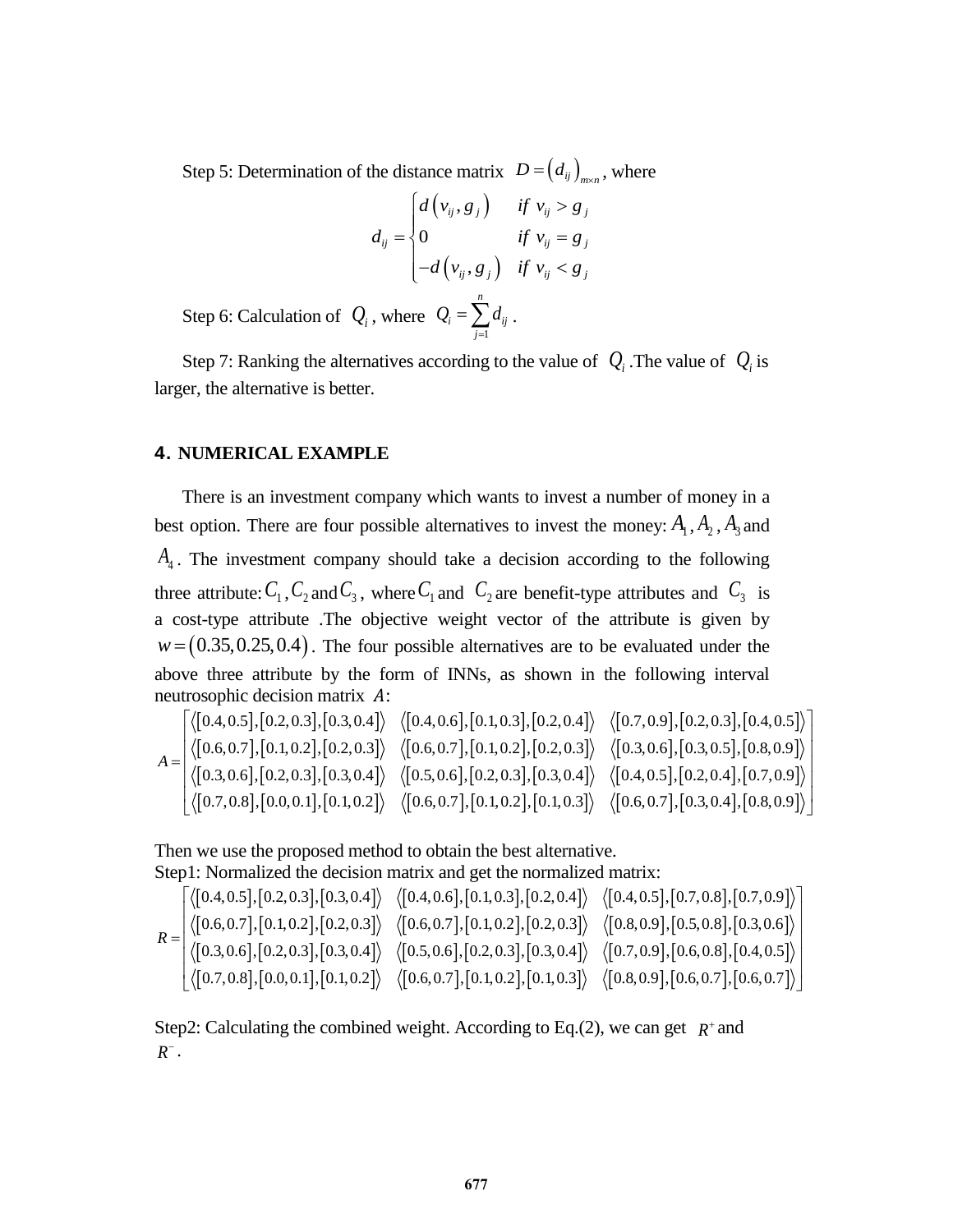Step 5: Determination of the distance matrix  $D = (d_{ij})_{max}$ , where

$$
d_{ij} = \begin{cases} d(v_{ij}, g_j) & \text{if } v_{ij} > g_j \\ 0 & \text{if } v_{ij} = g_j \\ -d(v_{ij}, g_j) & \text{if } v_{ij} < g_j \end{cases}
$$

Step 6: Calculation of  $Q_i$ , where 1 *n*  $i = \sum u_{ij}$ *j*  $Q_i = \sum d$  $=\sum_{j=1}d_{ij}$  .

Step 7: Ranking the alternatives according to the value of  $Q_i$ . The value of  $Q_i$  is larger, the alternative is better.

## **4. NUMERICAL EXAMPLE**

There is an investment company which wants to invest a number of money in a best option. There are four possible alternatives to invest the money:  $A_1$ ,  $A_2$ ,  $A_3$  and *A*4 . The investment company should take a decision according to the following three attribute:  $C_1$ ,  $C_2$  and  $C_3$ , where  $C_1$  and  $C_2$  are benefit-type attributes and  $C_3$  is a cost-type attribute .The objective weight vector of the attribute is given by *w* = (0.35,0.25,0.4). The four possible alternatives are to be evaluated under the<br>above three attribute by the form of INNs, as shown in the following interval<br>neutrosophic decision matrix *A*:<br> $\left[\langle [0.4, 0.5], [0.2, 0.3],$ above three attribute by the form of INNs, as shown in the following interval neutrosophic decision matrix  $A$ : 0.35, 0.25, 0.4). The four possible alternatives are to be evaluated under the three attribute by the form of INNs, as shown in the following interval sophic decision matrix *A*:<br>0.4,0.5], [0.2,0.3], [0.3,0.4])  $\langle$  [0.4, we three attribute by the form of INNs, as shown in the following interval<br>rosophic decision matrix A:<br> $\left[\langle [0.4, 0.5], [0.2, 0.3], [0.3, 0.4] \rangle \right] \left\langle [0.4, 0.6], [0.1, 0.3], [0.2, 0.4] \rangle \right] \left\langle [0.7, 0.9], [0.2, 0.3], [0.4, 0.5] \right\rangle$ 

above three attribute by the form of INNs, as shown in the following interval  
neutrosophic decision matrix A:  

$$
\begin{bmatrix} \langle [0.4, 0.5], [0.2, 0.3], [0.3, 0.4] \rangle & \langle [0.4, 0.6], [0.1, 0.3], [0.2, 0.4] \rangle & \langle [0.7, 0.9], [0.2, 0.3], [0.4, 0.5] \rangle \langle [0.6, 0.7], [0.1, 0.2], [0.2, 0.3] \rangle & \langle [0.6, 0.7], [0.1, 0.2], [0.2, 0.3] \rangle & \langle [0.3, 0.6], [0.3, 0.5], [0.8, 0.9] \rangle \langle [0.3, 0.6], [0.2, 0.3], [0.3, 0.4] \rangle & \langle [0.4, 0.5], [0.2, 0.4], [0.7, 0.9] \rangle \langle [0.7, 0.8], [0.0, 0.1], [0.1, 0.2] \rangle & \langle [0.6, 0.7], [0.1, 0.2], [0.1, 0.3] \rangle & \langle [0.6, 0.7], [0.3, 0.4], [0.8, 0.9] \rangle \end{bmatrix}
$$

Then we use the proposed method to obtain the best alternative. Step1: Normalized the decision matrix and get the normalized matrix:

Then we use the proposed method to obtain the best alternative.  
\nStep1: Normalized the decision matrix and get the normalized matrix:  
\n
$$
\sqrt{\langle a, b \rangle} \quad \langle [0.4, 0.5], [0.2, 0.3], [0.3, 0.4] \rangle \quad \langle [0.4, 0.6], [0.1, 0.3], [0.2, 0.4] \rangle \quad \langle [0.4, 0.5], [0.7, 0.8], [0.7, 0.9] \rangle
$$
\n
$$
R = \begin{bmatrix}\n\langle [0.4, 0.5], [0.2, 0.3], [0.3, 0.4] \rangle & \langle [0.4, 0.6], [0.1, 0.3], [0.2, 0.4] \rangle & \langle [0.4, 0.5], [0.5, 0.8], [0.3, 0.6] \rangle \\
\langle [0.3, 0.6], [0.2, 0.3], [0.3, 0.4] \rangle & \langle [0.5, 0.6], [0.2, 0.3], [0.3, 0.4] \rangle & \langle [0.7, 0.9], [0.6, 0.8], [0.4, 0.5] \rangle \\
\langle [0.7, 0.8], [0.0, 0.1], [0.1, 0.2] \rangle & \langle [0.6, 0.7], [0.1, 0.2], [0.1, 0.3] \rangle & \langle [0.8, 0.9], [0.6, 0.7], [0.6, 0.7] \rangle\n\end{bmatrix}
$$

Step2: Calculating the combined weight. According to Eq.(2), we can get  $R^+$  and  $R^-$ .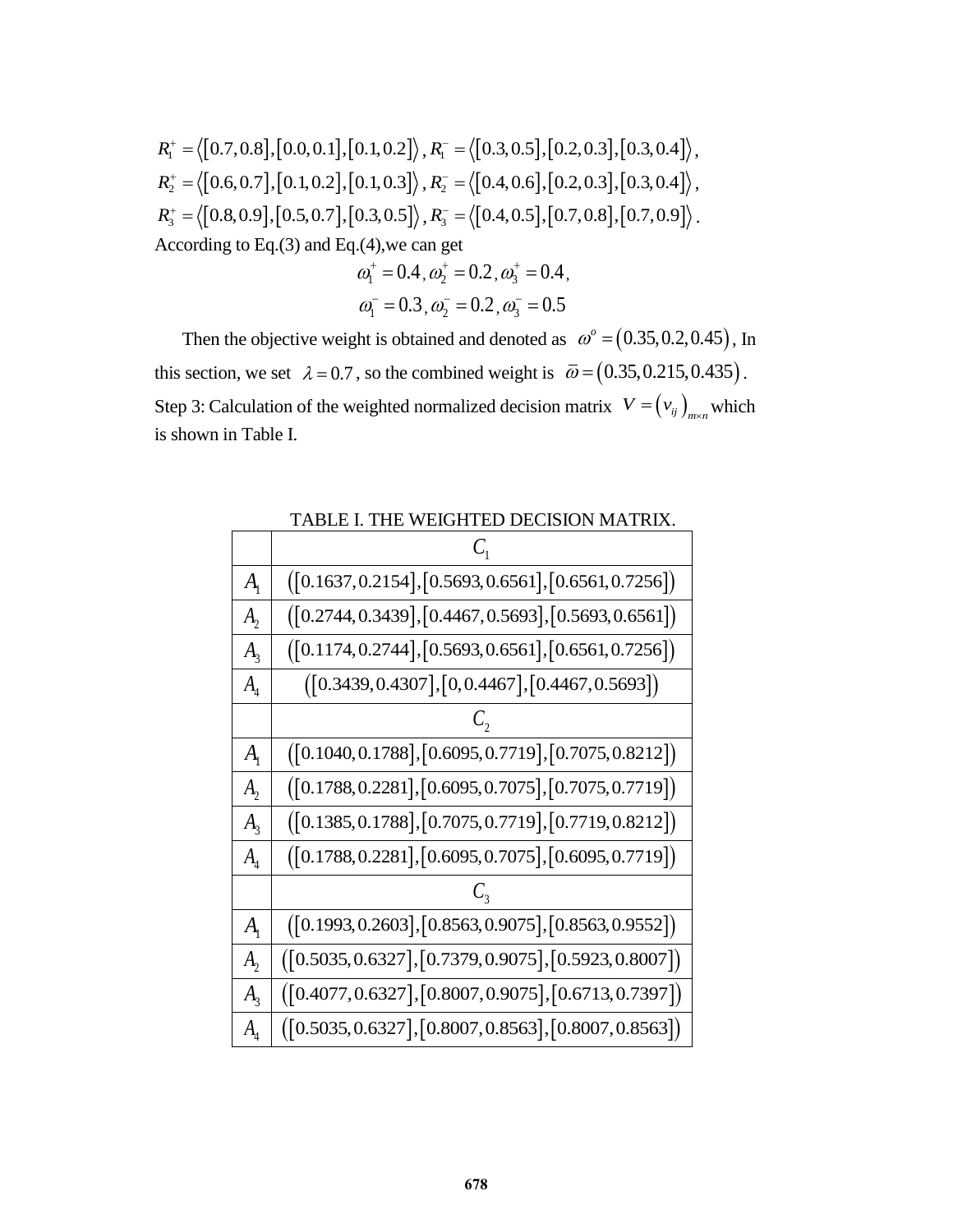$$
R_1^+ = \langle [0.7, 0.8], [0.0, 0.1], [0.1, 0.2] \rangle, R_1^- = \langle [0.3, 0.5], [0.2, 0.3], [0.3, 0.4] \rangle,
$$
  
\n
$$
R_2^+ = \langle [0.6, 0.7], [0.1, 0.2], [0.1, 0.3] \rangle, R_2^- = \langle [0.4, 0.6], [0.2, 0.3], [0.3, 0.4] \rangle,
$$
  
\n
$$
R_3^+ = \langle [0.8, 0.9], [0.5, 0.7], [0.3, 0.5] \rangle, R_3^- = \langle [0.4, 0.5], [0.7, 0.8], [0.7, 0.9] \rangle.
$$
  
\nAccording to Eq.(3) and Eq.(4), we can get

$$
\omega_1^+ = 0.4, \omega_2^+ = 0.2, \omega_3^+ = 0.4, \omega_1^- = 0.3, \omega_2^- = 0.2, \omega_3^- = 0.5
$$

Then the objective weight is obtained and denoted as  $\omega^{\circ} = (0.35, 0.2, 0.45)$ , In this section, we set  $\lambda = 0.7$ , so the combined weight is  $\bar{\omega} = (0.35, 0.215, 0.435)$ . Step 3: Calculation of the weighted normalized decision matrix  $V = (v_{ij})_{i,j \in \mathbb{N}}$  which is shown in Table I.

| $A_{1}$                            | $([0.1637, 0.2154], [0.5693, 0.6561], [0.6561, 0.7256])$ |
|------------------------------------|----------------------------------------------------------|
| $A_{2}$                            | $([0.2744, 0.3439], [0.4467, 0.5693], [0.5693, 0.6561])$ |
| $A_{\rm a}$                        | $([0.1174, 0.2744], [0.5693, 0.6561], [0.6561, 0.7256])$ |
| $A_{\scriptscriptstyle 4}$         | $([0.3439, 0.4307], [0, 0.4467], [0.4467, 0.5693])$      |
|                                    |                                                          |
| $A_{1}$                            | $([0.1040, 0.1788], [0.6095, 0.7719], [0.7075, 0.8212])$ |
| $A_{2}$                            | $([0.1788, 0.2281], [0.6095, 0.7075], [0.7075, 0.7719])$ |
| $A_{\rm a}$                        | $([0.1385, 0.1788], [0.7075, 0.7719], [0.7719, 0.8212])$ |
| $A_{\scriptscriptstyle\varLambda}$ | $([0.1788, 0.2281], [0.6095, 0.7075], [0.6095, 0.7719])$ |
|                                    |                                                          |
| $A_{1}$                            | $([0.1993, 0.2603], [0.8563, 0.9075], [0.8563, 0.9552])$ |
| $A_{2}$                            | $([0.5035, 0.6327], [0.7379, 0.9075], [0.5923, 0.8007])$ |
| $A_{\rm a}$                        | $([0.4077, 0.6327], [0.8007, 0.9075], [0.6713, 0.7397])$ |
| $A_{\scriptscriptstyle 4}$         | $([0.5035, 0.6327], [0.8007, 0.8563], [0.8007, 0.8563])$ |

TABLE I. THE WEIGHTED DECISION MATRIX.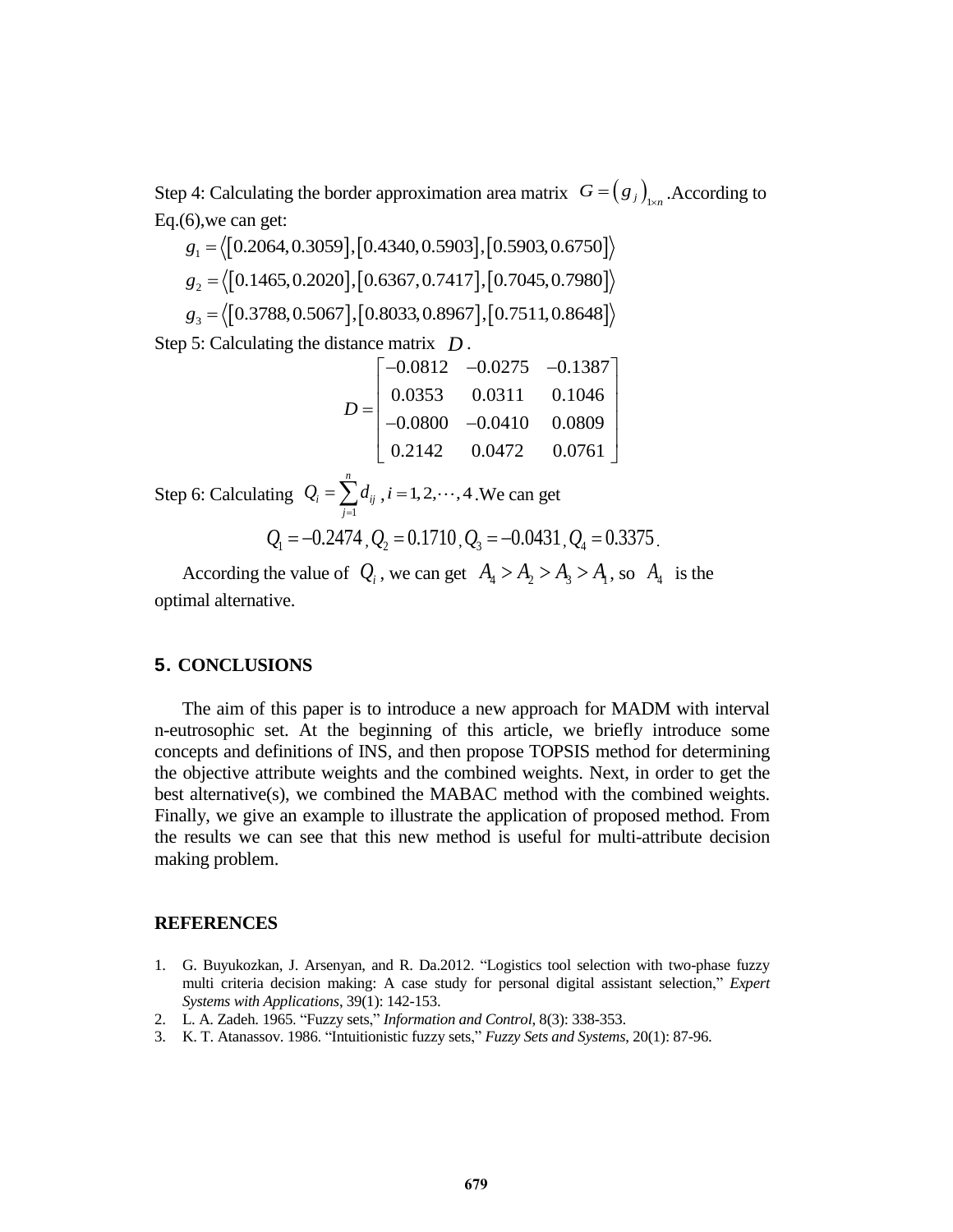Step 4: Calculating the border approximation area matrix  $G = (g_j)_{j \times n}$ . According to Eq.(6), we can get:<br>  $g_1 = \langle [0.2064, 0.3059], [0.4340, 0.5903], [0.5903, 0.6750] \rangle$ Eq.(6),we can get:

$$
g_1 = \langle [0.2064, 0.3059], [0.4340, 0.5903], [0.5903, 0.6750] \rangle
$$
  
\n
$$
g_2 = \langle [0.1465, 0.2020], [0.6367, 0.7417], [0.7045, 0.7980] \rangle
$$
  
\n
$$
g_3 = \langle [0.3788, 0.5067], [0.8033, 0.8967], [0.7511, 0.8648] \rangle
$$

Step 5: Calculating the distance matrix 
$$
D
$$
.  
\n
$$
D = \begin{bmatrix}\n-0.0812 & -0.0275 & -0.1387 \\
0.0353 & 0.0311 & 0.1046 \\
-0.0800 & -0.0410 & 0.0809 \\
0.2142 & 0.0472 & 0.0761\n\end{bmatrix}
$$

Step 6: Calculating 1 *n*  $i = \sum u_{ij}$ *j*  $Q_i = \sum d$  $=\sum_{j=1} d_{ij}$ ,  $i = 1, 2, \dots, 4$ . We can get

$$
Q_1 = -0.2474
$$
,  $Q_2 = 0.1710$ ,  $Q_3 = -0.0431$ ,  $Q_4 = 0.3375$ .

According the value of  $Q_i$ , we can get  $A_4 > A_2 > A_3 > A_1$ , so  $A_4$  is the optimal alternative.

### **5. CONCLUSIONS**

The aim of this paper is to introduce a new approach for MADM with interval n-eutrosophic set. At the beginning of this article, we briefly introduce some concepts and definitions of INS, and then propose TOPSIS method for determining the objective attribute weights and the combined weights. Next, in order to get the best alternative(s), we combined the MABAC method with the combined weights. Finally, we give an example to illustrate the application of proposed method. From the results we can see that this new method is useful for multi-attribute decision making problem.

## **REFERENCES**

- 1. G. Buyukozkan, J. Arsenyan, and R. Da.2012. "Logistics tool selection with two-phase fuzzy multi criteria decision making: A case study for personal digital assistant selection," *Expert Systems with Applications*, 39(1): 142-153.
- 2. L. A. Zadeh. 1965. "Fuzzy sets," *Information and Control*, 8(3): 338-353.
- 3. K. T. Atanassov. 1986. "Intuitionistic fuzzy sets," *Fuzzy Sets and Systems*, 20(1): 87-96.